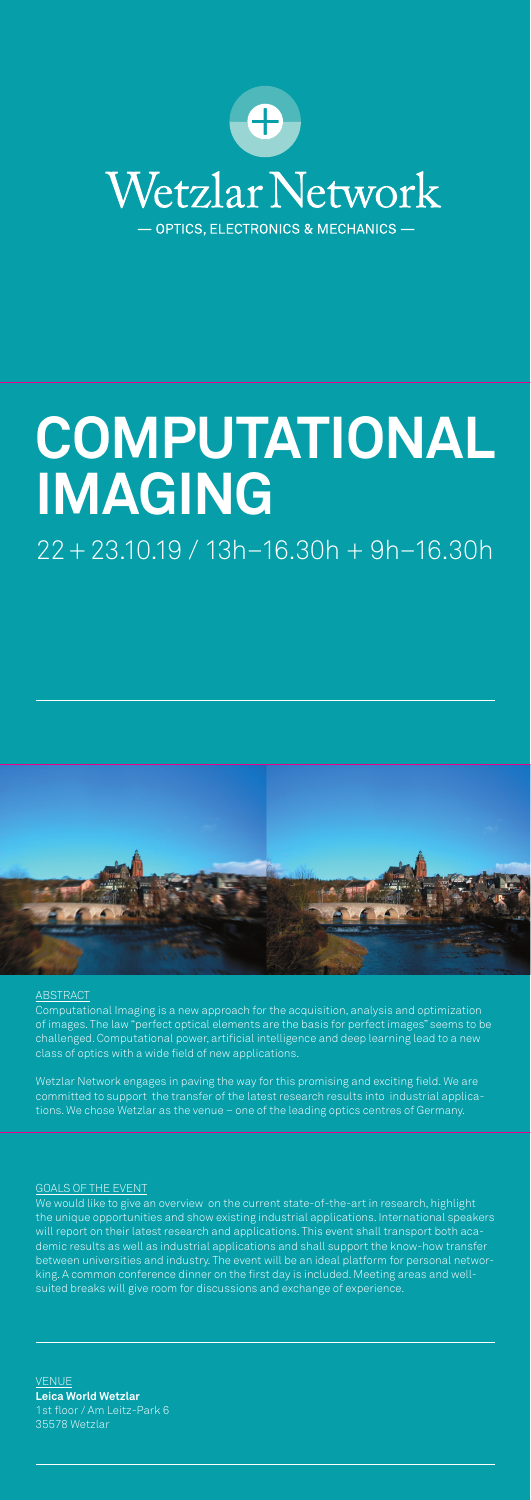Computational Imaging is a new approach for the acquisition, analysis and optimization of images. The law "perfect optical elements are the basis for perfect images" seems to be challenged. Computational power, artificial intelligence and deep learning lead to a new class of optics with a wide field of new applications.

**VENUE Leica World Wetzlar** 1st floor / Am Leitz-Park 6 35578 Wetzlar

Wetzlar Network engages in paving the way for this promising and exciting field. We are committed to support the transfer of the latest research results into industrial applications. We chose Wetzlar as the venue – one of the leading optics centres of Germany.



# **COMPUTATIONAL IMAGING**

# 22 + 23.10.19 / 13h–16.30h + 9h–16.30h



#### **ABSTRACT**

#### GOALS OF THE EVENT

We would like to give an overview on the current state-of-the-art in research, highlight the unique opportunities and show existing industrial applications. International speakers will report on their latest research and applications. This event shall transport both academic results as well as industrial applications and shall support the know-how transfer between universities and industry. The event will be an ideal platform for personal networking. A common conference dinner on the first day is included. Meeting areas and wellsuited breaks will give room for discussions and exchange of experience.